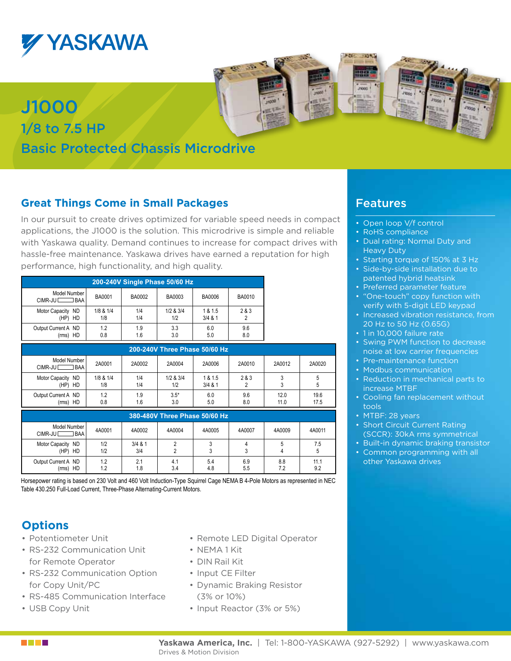

J1000

1/8 to 7.5 HP

## **Great Things Come in Small Packages**

Basic Protected Chassis Microdrive

In our pursuit to create drives optimized for variable speed needs in compact applications, the J1000 is the solution. This microdrive is simple and reliable with Yaskawa quality. Demand continues to increase for compact drives with hassle-free maintenance. Yaskawa drives have earned a reputation for high performance, high functionality, and high quality.

| 200-240V Single Phase 50/60 Hz    |                  |               |                  |                     |               |
|-----------------------------------|------------------|---------------|------------------|---------------------|---------------|
| Model Number I<br>CIMR-JU BAA     | <b>BA0001</b>    | <b>BA0002</b> | BA0003           | <b>BA0006</b>       | <b>BA0010</b> |
| Motor Capacity ND<br>(HP) HD      | 1/8 & 1/4<br>1/8 | 1/4<br>1/4    | 1/2 & 3/4<br>1/2 | 1 & 1.5<br>3/4 & 81 | 2 & 3         |
| Output Current A ND<br>$(rms)$ HD | 1.2<br>0.8       | 1.9<br>1.6    | 3.3<br>3.0       | 6.0<br>5.0          | 9.6<br>8.0    |
| 200-240V Three Phase 50/60 Hz     |                  |               |                  |                     |               |

| Model Number I<br>CIMR-JU <sub>L</sub><br>BAA | 2A0001           | 2A0002     | 2A0004           | 2A0006               | 2A0010     | 2A0012       | 2A0020       |
|-----------------------------------------------|------------------|------------|------------------|----------------------|------------|--------------|--------------|
| Motor Capacity ND<br>(HP) HD                  | 1/8 & 1/4<br>1/8 | 1/4<br>1/4 | 1/2 & 3/4<br>1/2 | 1 & 1.5<br>$3/4$ & 1 | 2 & 3      |              |              |
| Output Current A ND<br>HD<br>(rms)            | 1.2<br>0.8       | 1.9<br>1.6 | $3.5*$<br>3.0    | 6.0<br>5.0           | 9.6<br>8.0 | 12.0<br>11.0 | 19.6<br>17.5 |

| 380-480V Three Phase 50/60 Hz        |            |                  |            |            |            |            |             |
|--------------------------------------|------------|------------------|------------|------------|------------|------------|-------------|
| Model Number I<br>CIMR-JU L<br>l BAA | 4A0001     | 4A0002           | 4A0004     | 4A0005     | 4A0007     | 4A0009     | 4A0011      |
| Motor Capacity ND<br>HD<br>(HP)      | 1/2<br>1/2 | $3/4$ & 1<br>3/4 |            |            |            |            | 7.5         |
| Output Current A ND<br>(rms)<br>HD   | 1.2<br>1.2 | 2.1<br>1.8       | 4.1<br>3.4 | 5.4<br>4.8 | 6.9<br>5.5 | 8.8<br>7.2 | 11.1<br>9.2 |

Horsepower rating is based on 230 Volt and 460 Volt Induction-Type Squirrel Cage NEMA B 4-Pole Motors as represented in NEC Table 430.250 Full-Load Current, Three-Phase Alternating-Current Motors.

#### **Options**

- • Potentiometer Unit
- • RS-232 Communication Unit for Remote Operator
- RS-232 Communication Option for Copy Unit/PC
- RS-485 Communication Interface
- • USB Copy Unit
- Remote LED Digital Operator
- • NEMA 1 Kit
- • DIN Rail Kit
- Input CE Filter
- • Dynamic Braking Resistor (3% or 10%)
- Input Reactor (3% or 5%)

### Features

2343

- Open loop V/f control
- RoHS compliance
- Dual rating: Normal Duty and Heavy Duty
- Starting torque of 150% at 3 Hz
- Side-by-side installation due to patented hybrid heatsink
- Preferred parameter feature
- "One-touch" copy function with verify with 5-digit LED keypad
- Increased vibration resistance, from 20 Hz to 50 Hz (0.65G)
- 1 in 10,000 failure rate
- Swing PWM function to decrease noise at low carrier frequencies
- Pre-maintenance function
- Modbus communication
- Reduction in mechanical parts to increase MTBF
- Cooling fan replacement without tools
- MTBF: 28 years
- Short Circuit Current Rating (SCCR): 30kA rms symmetrical
- Built-in dynamic braking transistor
- Common programming with all other Yaskawa drives